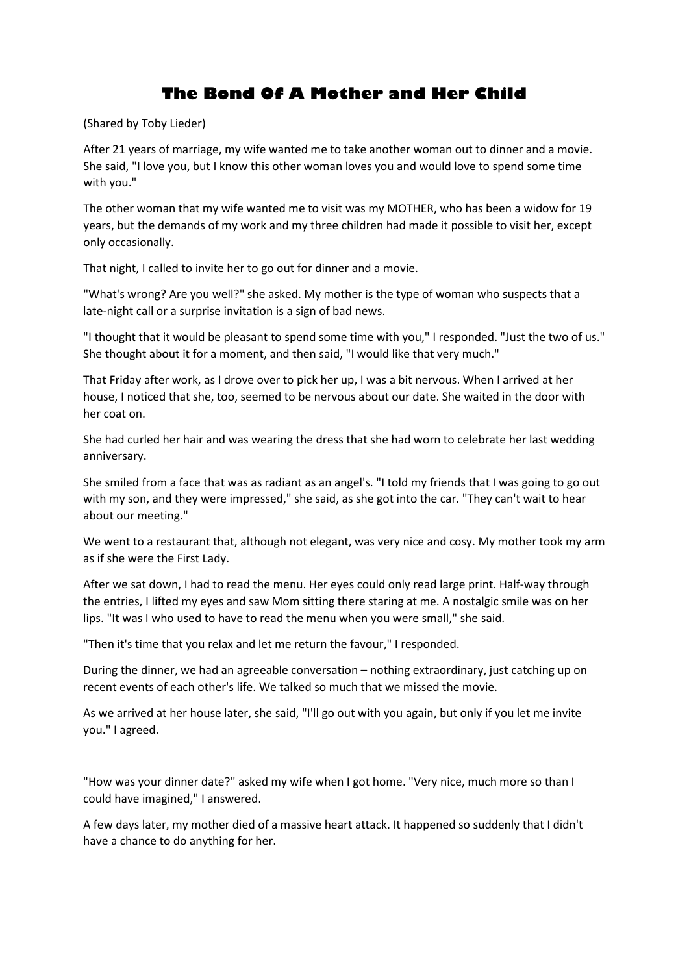## **The Bond Of A Mother and Her Child**

(Shared by Toby Lieder)

After 21 years of marriage, my wife wanted me to take another woman out to dinner and a movie. She said, "I love you, but I know this other woman loves you and would love to spend some time with you."

The other woman that my wife wanted me to visit was my MOTHER, who has been a widow for 19 years, but the demands of my work and my three children had made it possible to visit her, except only occasionally.

That night, I called to invite her to go out for dinner and a movie.

"What's wrong? Are you well?" she asked. My mother is the type of woman who suspects that a late-night call or a surprise invitation is a sign of bad news.

"I thought that it would be pleasant to spend some time with you," I responded. "Just the two of us." She thought about it for a moment, and then said, "I would like that very much."

That Friday after work, as I drove over to pick her up, I was a bit nervous. When I arrived at her house, I noticed that she, too, seemed to be nervous about our date. She waited in the door with her coat on.

She had curled her hair and was wearing the dress that she had worn to celebrate her last wedding anniversary.

She smiled from a face that was as radiant as an angel's. "I told my friends that I was going to go out with my son, and they were impressed," she said, as she got into the car. "They can't wait to hear about our meeting."

We went to a restaurant that, although not elegant, was very nice and cosy. My mother took my arm as if she were the First Lady.

After we sat down, I had to read the menu. Her eyes could only read large print. Half-way through the entries, I lifted my eyes and saw Mom sitting there staring at me. A nostalgic smile was on her lips. "It was I who used to have to read the menu when you were small," she said.

"Then it's time that you relax and let me return the favour," I responded.

During the dinner, we had an agreeable conversation – nothing extraordinary, just catching up on recent events of each other's life. We talked so much that we missed the movie.

As we arrived at her house later, she said, "I'll go out with you again, but only if you let me invite you." I agreed.

"How was your dinner date?" asked my wife when I got home. "Very nice, much more so than I could have imagined," I answered.

A few days later, my mother died of a massive heart attack. It happened so suddenly that I didn't have a chance to do anything for her.